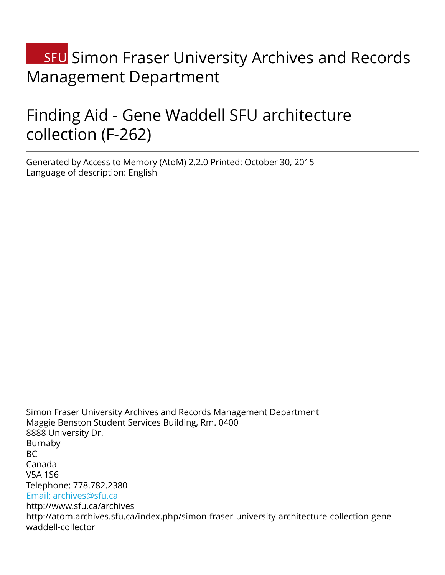# **SFU** Simon Fraser University Archives and Records Management Department

# Finding Aid - Gene Waddell SFU architecture collection (F-262)

Generated by Access to Memory (AtoM) 2.2.0 Printed: October 30, 2015 Language of description: English

Simon Fraser University Archives and Records Management Department Maggie Benston Student Services Building, Rm. 0400 8888 University Dr. Burnaby  $BC$ Canada V5A 1S6 Telephone: 778.782.2380 [Email: archives@sfu.ca](mailto:Email: archives@sfu.ca) http://www.sfu.ca/archives http://atom.archives.sfu.ca/index.php/simon-fraser-university-architecture-collection-genewaddell-collector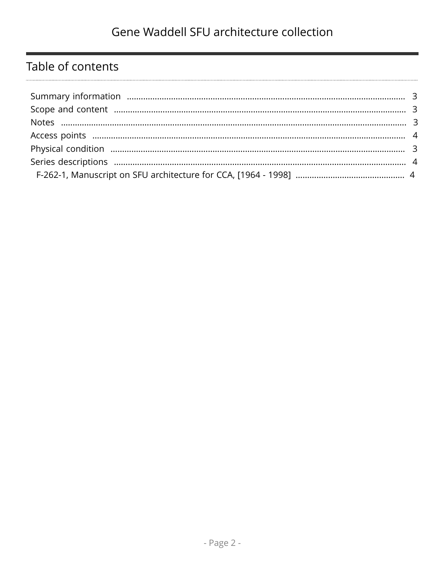# Table of contents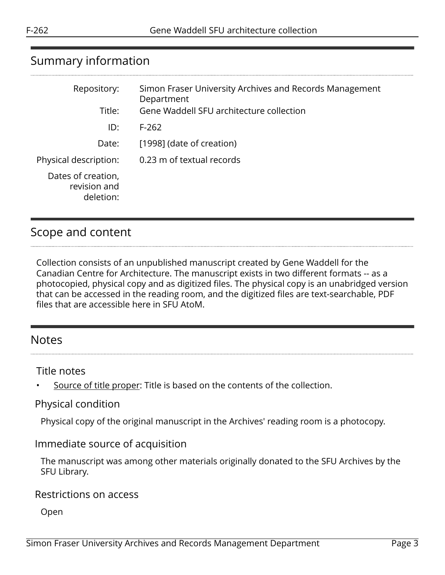# <span id="page-2-0"></span>Summary information

| Repository:                                     | Simon Fraser University Archives and Records Management<br>Department |
|-------------------------------------------------|-----------------------------------------------------------------------|
| Title:                                          | Gene Waddell SFU architecture collection                              |
| ID:                                             | $F-262$                                                               |
| Date:                                           | [1998] (date of creation)                                             |
| Physical description:                           | 0.23 m of textual records                                             |
| Dates of creation,<br>revision and<br>deletion: |                                                                       |

## <span id="page-2-1"></span>Scope and content

Collection consists of an unpublished manuscript created by Gene Waddell for the Canadian Centre for Architecture. The manuscript exists in two different formats -- as a photocopied, physical copy and as digitized files. The physical copy is an unabridged version that can be accessed in the reading room, and the digitized files are text-searchable, PDF files that are accessible here in SFU AtoM.

### <span id="page-2-2"></span>Notes

Title notes

Source of title proper: Title is based on the contents of the collection.

#### <span id="page-2-3"></span>Physical condition

Physical copy of the original manuscript in the Archives' reading room is a photocopy.

#### Immediate source of acquisition

The manuscript was among other materials originally donated to the SFU Archives by the SFU Library.

#### Restrictions on access

Open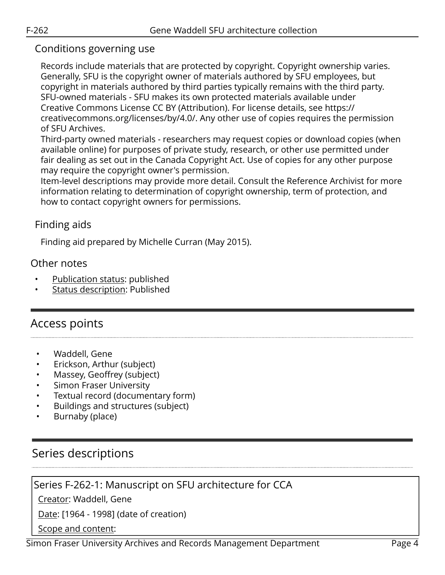### Conditions governing use

Records include materials that are protected by copyright. Copyright ownership varies. Generally, SFU is the copyright owner of materials authored by SFU employees, but copyright in materials authored by third parties typically remains with the third party. SFU-owned materials - SFU makes its own protected materials available under Creative Commons License CC BY (Attribution). For license details, see https:// creativecommons.org/licenses/by/4.0/. Any other use of copies requires the permission of SFU Archives.

Third-party owned materials - researchers may request copies or download copies (when available online) for purposes of private study, research, or other use permitted under fair dealing as set out in the Canada Copyright Act. Use of copies for any other purpose may require the copyright owner's permission.

Item-level descriptions may provide more detail. Consult the Reference Archivist for more information relating to determination of copyright ownership, term of protection, and how to contact copyright owners for permissions.

### Finding aids

Finding aid prepared by Michelle Curran (May 2015).

#### Other notes

- Publication status: published
- Status description: Published

## <span id="page-3-0"></span>Access points

- Waddell, Gene
- Erickson, Arthur (subject)
- Massey, Geoffrey (subject)
- **Simon Fraser University**
- Textual record (documentary form)
- Buildings and structures (subject)
- Burnaby (place)

## <span id="page-3-1"></span>Series descriptions

### <span id="page-3-2"></span>Series F-262-1: Manuscript on SFU architecture for CCA

Creator: Waddell, Gene

Date: [1964 - 1998] (date of creation)

Scope and content: